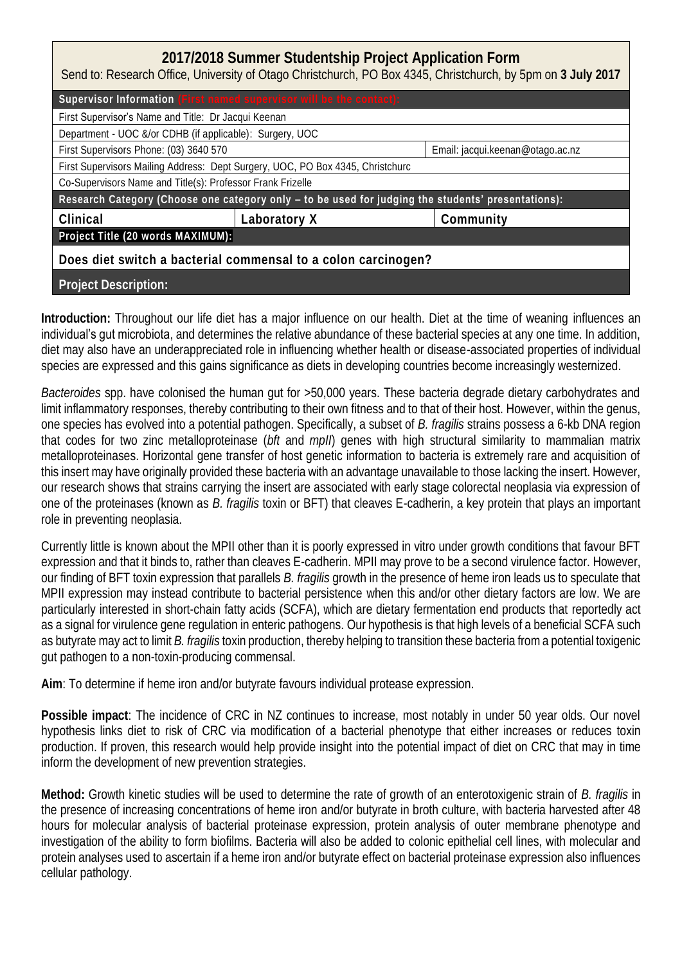| 2017/2018 Summer Studentship Project Application Form<br>Send to: Research Office, University of Otago Christchurch, PO Box 4345, Christchurch, by 5pm on 3 July 2017 |              |                                  |  |  |
|-----------------------------------------------------------------------------------------------------------------------------------------------------------------------|--------------|----------------------------------|--|--|
| Supervisor Information (First named supervisor will be the contact):                                                                                                  |              |                                  |  |  |
| First Supervisor's Name and Title: Dr Jacqui Keenan                                                                                                                   |              |                                  |  |  |
| Department - UOC &/or CDHB (if applicable): Surgery, UOC                                                                                                              |              |                                  |  |  |
| First Supervisors Phone: (03) 3640 570                                                                                                                                |              | Email: jacqui.keenan@otago.ac.nz |  |  |
| First Supervisors Mailing Address: Dept Surgery, UOC, PO Box 4345, Christchurc                                                                                        |              |                                  |  |  |
| Co-Supervisors Name and Title(s): Professor Frank Frizelle                                                                                                            |              |                                  |  |  |
| Research Category (Choose one category only - to be used for judging the students' presentations):                                                                    |              |                                  |  |  |
| Clinical                                                                                                                                                              | Laboratory X | Community                        |  |  |
| Project Title (20 words MAXIMUM):                                                                                                                                     |              |                                  |  |  |
| Does diet switch a bacterial commensal to a colon carcinogen?                                                                                                         |              |                                  |  |  |
| <b>Project Description:</b>                                                                                                                                           |              |                                  |  |  |

**Introduction:** Throughout our life diet has a major influence on our health. Diet at the time of weaning influences an individual's gut microbiota, and determines the relative abundance of these bacterial species at any one time. In addition, diet may also have an underappreciated role in influencing whether health or disease-associated properties of individual species are expressed and this gains significance as diets in developing countries become increasingly westernized.

*Bacteroides* spp. have colonised the human gut for >50,000 years. These bacteria degrade dietary carbohydrates and limit inflammatory responses, thereby contributing to their own fitness and to that of their host. However, within the genus, one species has evolved into a potential pathogen. Specifically, a subset of *B. fragilis* strains possess a 6-kb DNA region that codes for two zinc metalloproteinase (*bft* and *mpII*) genes with high structural similarity to mammalian matrix metalloproteinases. Horizontal gene transfer of host genetic information to bacteria is extremely rare and acquisition of this insert may have originally provided these bacteria with an advantage unavailable to those lacking the insert. However, our research shows that strains carrying the insert are associated with early stage colorectal neoplasia via expression of one of the proteinases (known as *B. fragilis* toxin or BFT) that cleaves E-cadherin, a key protein that plays an important role in preventing neoplasia.

Currently little is known about the MPII other than it is poorly expressed in vitro under growth conditions that favour BFT expression and that it binds to, rather than cleaves E-cadherin. MPII may prove to be a second virulence factor. However, our finding of BFT toxin expression that parallels *B. fragilis* growth in the presence of heme iron leads us to speculate that MPII expression may instead contribute to bacterial persistence when this and/or other dietary factors are low. We are particularly interested in short-chain fatty acids (SCFA), which are dietary fermentation end products that reportedly act as a signal for virulence gene regulation in enteric pathogens. Our hypothesis is that high levels of a beneficial SCFA such as butyrate may act to limit *B. fragilis* toxin production, thereby helping to transition these bacteria from a potential toxigenic gut pathogen to a non-toxin-producing commensal.

**Aim**: To determine if heme iron and/or butyrate favours individual protease expression.

**Possible impact**: The incidence of CRC in NZ continues to increase, most notably in under 50 year olds. Our novel hypothesis links diet to risk of CRC via modification of a bacterial phenotype that either increases or reduces toxin production. If proven, this research would help provide insight into the potential impact of diet on CRC that may in time inform the development of new prevention strategies.

**Method:** Growth kinetic studies will be used to determine the rate of growth of an enterotoxigenic strain of *B. fragilis* in the presence of increasing concentrations of heme iron and/or butyrate in broth culture, with bacteria harvested after 48 hours for molecular analysis of bacterial proteinase expression, protein analysis of outer membrane phenotype and investigation of the ability to form biofilms. Bacteria will also be added to colonic epithelial cell lines, with molecular and protein analyses used to ascertain if a heme iron and/or butyrate effect on bacterial proteinase expression also influences cellular pathology.